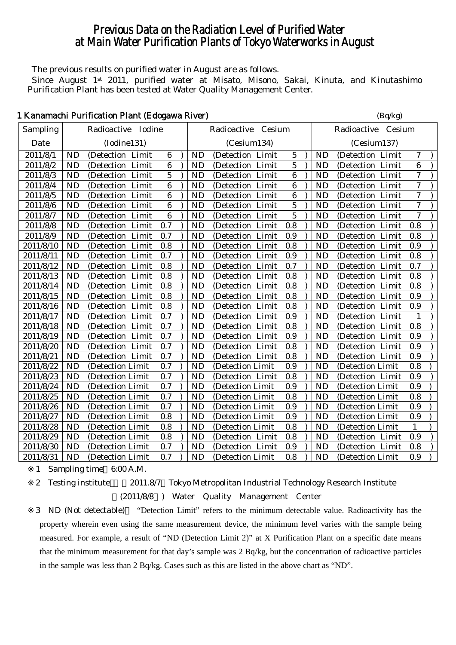# Previous Data on the Radiation Level of Purified Water at Main Water Purification Plants of Tokyo Waterworks in August

The previous results on purified water in August are as follows.

Since August 1<sup>st</sup> 2011, purified water at Misato, Misono, Sakai, Kinuta, and Kinutashimo Purification Plant has been tested at Water Quality Management Center.

| 1 Kanamachi Purification Plant (Edogawa River) |  | (Bq/kg) |
|------------------------------------------------|--|---------|
|------------------------------------------------|--|---------|

| Sampling  |           | Radioactive Iodine |                  |           | Radioactive Cesium |                  |           | Radioactive Cesium |                |
|-----------|-----------|--------------------|------------------|-----------|--------------------|------------------|-----------|--------------------|----------------|
| Date      |           | (Iodine131)        |                  |           | (Cesium134)        |                  |           | (Cesium137)        |                |
| 2011/8/1  | <b>ND</b> | (Detection Limit   | $6\phantom{1}6$  | <b>ND</b> | (Detection Limit   | 5                | ND        | (Detection Limit   | 7              |
| 2011/8/2  | <b>ND</b> | (Detection Limit   | $6\phantom{1}6$  | <b>ND</b> | (Detection Limit   | $\overline{5}$   | <b>ND</b> | (Detection Limit   | 6              |
| 2011/8/3  | <b>ND</b> | (Detection Limit   | 5                | <b>ND</b> | (Detection Limit   | 6                | <b>ND</b> | (Detection Limit   | $\tau$         |
| 2011/8/4  | <b>ND</b> | (Detection Limit   | $6\phantom{1}6$  | <b>ND</b> | (Detection Limit   | $\boldsymbol{6}$ | <b>ND</b> | (Detection Limit   | $\tau$         |
| 2011/8/5  | <b>ND</b> | (Detection Limit   | $\boldsymbol{6}$ | <b>ND</b> | (Detection Limit   | $\bf{6}$         | <b>ND</b> | (Detection Limit   | $\overline{7}$ |
| 2011/8/6  | <b>ND</b> | (Detection Limit   | $\boldsymbol{6}$ | <b>ND</b> | (Detection Limit   | 5                | <b>ND</b> | (Detection Limit   | $\overline{7}$ |
| 2011/8/7  | <b>ND</b> | (Detection Limit   | $\boldsymbol{6}$ | <b>ND</b> | (Detection Limit   | $\overline{5}$   | <b>ND</b> | (Detection Limit   | $\tau$         |
| 2011/8/8  | <b>ND</b> | (Detection Limit   | 0.7              | <b>ND</b> | (Detection Limit   | 0.8              | <b>ND</b> | (Detection Limit   | 0.8            |
| 2011/8/9  | <b>ND</b> | (Detection Limit   | 0.7              | <b>ND</b> | (Detection Limit   | 0.9              | <b>ND</b> | (Detection Limit   | 0.8            |
| 2011/8/10 | <b>ND</b> | (Detection Limit   | 0.8              | <b>ND</b> | (Detection Limit   | 0.8              | <b>ND</b> | (Detection Limit   | 0.9            |
| 2011/8/11 | <b>ND</b> | (Detection Limit   | 0.7              | <b>ND</b> | (Detection Limit   | 0.9              | <b>ND</b> | (Detection Limit   | 0.8            |
| 2011/8/12 | <b>ND</b> | (Detection Limit   | 0.8              | <b>ND</b> | (Detection Limit   | 0.7              | <b>ND</b> | (Detection Limit   | 0.7            |
| 2011/8/13 | <b>ND</b> | (Detection Limit   | 0.8              | <b>ND</b> | (Detection Limit   | 0.8              | <b>ND</b> | (Detection Limit   | 0.8            |
| 2011/8/14 | <b>ND</b> | (Detection Limit   | 0.8              | <b>ND</b> | (Detection Limit   | 0.8              | <b>ND</b> | (Detection Limit   | 0.8            |
| 2011/8/15 | <b>ND</b> | (Detection Limit   | 0.8              | <b>ND</b> | (Detection Limit   | 0.8              | <b>ND</b> | (Detection Limit   | 0.9            |
| 2011/8/16 | <b>ND</b> | (Detection Limit   | 0.8              | <b>ND</b> | (Detection Limit   | 0.8              | <b>ND</b> | (Detection Limit   | 0.9            |
| 2011/8/17 | <b>ND</b> | (Detection Limit   | 0.7              | <b>ND</b> | (Detection Limit   | 0.9              | <b>ND</b> | (Detection Limit   | 1              |
| 2011/8/18 | <b>ND</b> | (Detection Limit   | 0.7              | <b>ND</b> | (Detection Limit   | 0.8              | <b>ND</b> | (Detection Limit   | 0.8            |
| 2011/8/19 | <b>ND</b> | (Detection Limit   | 0.7              | <b>ND</b> | (Detection Limit   | 0.9              | <b>ND</b> | (Detection Limit   | 0.9            |
| 2011/8/20 | <b>ND</b> | (Detection Limit   | 0.7              | <b>ND</b> | (Detection Limit   | 0.8              | <b>ND</b> | (Detection Limit   | 0.9            |
| 2011/8/21 | <b>ND</b> | (Detection Limit   | 0.7              | <b>ND</b> | (Detection Limit   | 0.8              | <b>ND</b> | (Detection Limit   | 0.9            |
| 2011/8/22 | <b>ND</b> | (Detection Limit   | 0.7              | <b>ND</b> | (Detection Limit   | 0.9              | <b>ND</b> | (Detection Limit   | 0.8            |
| 2011/8/23 | <b>ND</b> | (Detection Limit)  | 0.7              | <b>ND</b> | (Detection Limit   | 0.8              | <b>ND</b> | (Detection Limit   | 0.9            |
| 2011/8/24 | <b>ND</b> | (Detection Limit)  | 0.7              | <b>ND</b> | (Detection Limit   | 0.9              | <b>ND</b> | (Detection Limit   | 0.9            |
| 2011/8/25 | <b>ND</b> | (Detection Limit   | 0.7              | <b>ND</b> | (Detection Limit   | 0.8              | <b>ND</b> | (Detection Limit   | 0.8            |
| 2011/8/26 | <b>ND</b> | (Detection Limit   | 0.7              | <b>ND</b> | (Detection Limit)  | 0.9              | <b>ND</b> | (Detection Limit   | 0.9            |
| 2011/8/27 | <b>ND</b> | (Detection Limit   | 0.8              | <b>ND</b> | (Detection Limit   | 0.9              | <b>ND</b> | (Detection Limit   | 0.9            |
| 2011/8/28 | <b>ND</b> | (Detection Limit   | 0.8              | <b>ND</b> | (Detection Limit   | 0.8              | <b>ND</b> | (Detection Limit)  | 1              |
| 2011/8/29 | <b>ND</b> | (Detection Limit)  | 0.8              | <b>ND</b> | (Detection Limit   | 0.8              | <b>ND</b> | (Detection Limit   | 0.9            |
| 2011/8/30 | <b>ND</b> | (Detection Limit)  | 0.7              | <b>ND</b> | (Detection Limit   | 0.9              | <b>ND</b> | (Detection Limit   | 0.8            |
| 2011/8/31 | <b>ND</b> | (Detection Limit)  | 0.7              | <b>ND</b> | (Detection Limit)  | 0.8              | <b>ND</b> | (Detection Limit   | 0.9            |

1 Sampling time 6:00 A.M.

2 Testing institute 2011.8/7 Tokyo Metropolitan Industrial Technology Research Institute

(2011/8/8 ) Water Quality Management Center

3 ND (Not detectable) "Detection Limit" refers to the minimum detectable value. Radioactivity has the property wherein even using the same measurement device, the minimum level varies with the sample being measured. For example, a result of "ND (Detection Limit 2)" at X Purification Plant on a specific date means that the minimum measurement for that day's sample was 2 Bq/kg, but the concentration of radioactive particles in the sample was less than 2 Bq/kg. Cases such as this are listed in the above chart as "ND".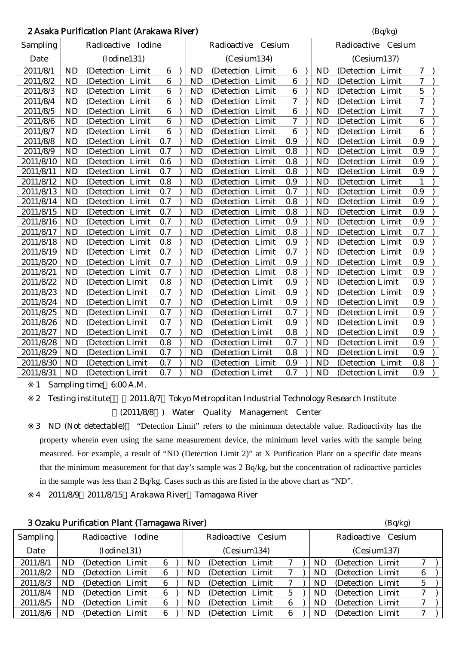| 2 Asaka Purification Plant (Arakawa River) | (Bq/kg) |
|--------------------------------------------|---------|
|--------------------------------------------|---------|

| Sampling  |           | Radioactive Iodine |                  | Radioactive Cesium |                   |                          |  |           | Radioactive Cesium |                  |  |  |  |
|-----------|-----------|--------------------|------------------|--------------------|-------------------|--------------------------|--|-----------|--------------------|------------------|--|--|--|
| Date      |           | (Iodine131)        |                  |                    | (Cesium134)       |                          |  |           | (Cesium137)        |                  |  |  |  |
| 2011/8/1  | <b>ND</b> | (Detection Limit   | $6\phantom{1}$   | <b>ND</b>          | (Detection Limit  | $6\phantom{.}6$          |  | <b>ND</b> | (Detection Limit   | $\overline{7}$   |  |  |  |
| 2011/8/2  | <b>ND</b> | (Detection Limit   | $6\phantom{1}6$  | <b>ND</b>          | (Detection Limit  | $\boldsymbol{6}$         |  | <b>ND</b> | (Detection Limit   | $\tau$           |  |  |  |
| 2011/8/3  | <b>ND</b> | (Detection Limit   | $\boldsymbol{6}$ | <b>ND</b>          | (Detection Limit  | 6                        |  | <b>ND</b> | (Detection Limit   | $\overline{5}$   |  |  |  |
| 2011/8/4  | <b>ND</b> | (Detection Limit   | $6\phantom{1}6$  | <b>ND</b>          | (Detection Limit  | 7                        |  | <b>ND</b> | (Detection Limit   | $\tau$           |  |  |  |
| 2011/8/5  | <b>ND</b> | (Detection Limit   | $\boldsymbol{6}$ | <b>ND</b>          | (Detection Limit  | $6\phantom{.}6$          |  | <b>ND</b> | (Detection Limit   | $\boldsymbol{7}$ |  |  |  |
| 2011/8/6  | <b>ND</b> | (Detection Limit   | $\boldsymbol{6}$ | <b>ND</b>          | (Detection Limit  | $\overline{\mathcal{U}}$ |  | <b>ND</b> | (Detection Limit   | $6\phantom{.}6$  |  |  |  |
| 2011/8/7  | <b>ND</b> | (Detection Limit   | $\boldsymbol{6}$ | <b>ND</b>          | (Detection Limit  | $6\phantom{.}6$          |  | <b>ND</b> | (Detection Limit   | $6\phantom{1}$   |  |  |  |
| 2011/8/8  | <b>ND</b> | (Detection Limit   | 0.7              | <b>ND</b>          | (Detection Limit  | 0.9                      |  | ND        | (Detection Limit   | 0.9              |  |  |  |
| 2011/8/9  | <b>ND</b> | (Detection Limit   | 0.7              | <b>ND</b>          | (Detection Limit  | 0.8                      |  | <b>ND</b> | (Detection Limit   | 0.9              |  |  |  |
| 2011/8/10 | <b>ND</b> | (Detection Limit   | 0.6              | <b>ND</b>          | (Detection Limit  | 0.8                      |  | <b>ND</b> | (Detection Limit   | 0.9              |  |  |  |
| 2011/8/11 | <b>ND</b> | (Detection Limit   | 0.7              | <b>ND</b>          | (Detection Limit  | 0.8                      |  | <b>ND</b> | (Detection Limit   | 0.9              |  |  |  |
| 2011/8/12 | <b>ND</b> | (Detection Limit   | 0.8              | <b>ND</b>          | (Detection Limit  | 0.9                      |  | <b>ND</b> | (Detection Limit   | 1                |  |  |  |
| 2011/8/13 | <b>ND</b> | (Detection Limit   | 0.7              | <b>ND</b>          | (Detection Limit  | 0.7                      |  | <b>ND</b> | (Detection Limit   | 0.9              |  |  |  |
| 2011/8/14 | <b>ND</b> | (Detection Limit   | 0.7              | <b>ND</b>          | (Detection Limit  | 0.8                      |  | <b>ND</b> | (Detection Limit   | 0.9              |  |  |  |
| 2011/8/15 | <b>ND</b> | (Detection Limit   | 0.7              | <b>ND</b>          | (Detection Limit  | 0.8                      |  | <b>ND</b> | (Detection Limit   | 0.9              |  |  |  |
| 2011/8/16 | <b>ND</b> | (Detection Limit   | 0.7              | <b>ND</b>          | (Detection Limit  | 0.9                      |  | <b>ND</b> | (Detection Limit   | 0.9              |  |  |  |
| 2011/8/17 | <b>ND</b> | (Detection Limit   | 0.7              | <b>ND</b>          | (Detection Limit  | 0.8                      |  | <b>ND</b> | (Detection Limit   | 0.7              |  |  |  |
| 2011/8/18 | <b>ND</b> | (Detection Limit   | 0.8              | <b>ND</b>          | (Detection Limit  | 0.9                      |  | <b>ND</b> | (Detection Limit   | 0.9              |  |  |  |
| 2011/8/19 | <b>ND</b> | (Detection Limit   | 0.7              | <b>ND</b>          | (Detection Limit  | 0.7                      |  | <b>ND</b> | (Detection Limit   | 0.9              |  |  |  |
| 2011/8/20 | <b>ND</b> | (Detection Limit   | 0.7              | <b>ND</b>          | (Detection Limit  | 0.9                      |  | <b>ND</b> | (Detection Limit   | 0.9              |  |  |  |
| 2011/8/21 | <b>ND</b> | (Detection Limit   | 0.7              | <b>ND</b>          | (Detection Limit  | 0.8                      |  | <b>ND</b> | (Detection Limit   | 0.9              |  |  |  |
| 2011/8/22 | <b>ND</b> | (Detection Limit   | 0.8              | <b>ND</b>          | (Detection Limit  | 0.9                      |  | <b>ND</b> | (Detection Limit   | 0.9              |  |  |  |
| 2011/8/23 | <b>ND</b> | (Detection Limit)  | 0.7              | <b>ND</b>          | (Detection Limit  | 0.9                      |  | <b>ND</b> | (Detection Limit   | 0.9              |  |  |  |
| 2011/8/24 | <b>ND</b> | (Detection Limit   | 0.7              | <b>ND</b>          | (Detection Limit) | 0.9                      |  | <b>ND</b> | (Detection Limit)  | 0.9              |  |  |  |
| 2011/8/25 | <b>ND</b> | (Detection Limit)  | 0.7              | <b>ND</b>          | (Detection Limit  | 0.7                      |  | <b>ND</b> | (Detection Limit)  | 0.9              |  |  |  |
| 2011/8/26 | <b>ND</b> | (Detection Limit   | 0.7              | <b>ND</b>          | (Detection Limit  | 0.9                      |  | <b>ND</b> | (Detection Limit)  | 0.9              |  |  |  |
| 2011/8/27 | <b>ND</b> | (Detection Limit)  | 0.7              | <b>ND</b>          | (Detection Limit  | 0.8                      |  | <b>ND</b> | (Detection Limit)  | 0.9              |  |  |  |
| 2011/8/28 | <b>ND</b> | (Detection Limit   | 0.8              | <b>ND</b>          | (Detection Limit  | 0.7                      |  | <b>ND</b> | (Detection Limit)  | 0.9              |  |  |  |
| 2011/8/29 | <b>ND</b> | (Detection Limit)  | 0.7              | <b>ND</b>          | (Detection Limit  | 0.8                      |  | <b>ND</b> | (Detection Limit)  | 0.9              |  |  |  |
| 2011/8/30 | <b>ND</b> | (Detection Limit   | 0.7              | <b>ND</b>          | (Detection Limit  | 0.9                      |  | <b>ND</b> | (Detection Limit   | 0.8              |  |  |  |
| 2011/8/31 | <b>ND</b> | (Detection Limit   | 0.7              | <b>ND</b>          | (Detection Limit  | 0.7                      |  | <b>ND</b> | (Detection Limit   | 0.9              |  |  |  |

1 Sampling time 6:00 A.M.

2 Testing institute 2011.8/7 Tokyo Metropolitan Industrial Technology Research Institute (2011/8/8 ) Water Quality Management Center

3 ND (Not detectable) "Detection Limit" refers to the minimum detectable value. Radioactivity has the property wherein even using the same measurement device, the minimum level varies with the sample being measured. For example, a result of "ND (Detection Limit 2)" at X Purification Plant on a specific date means that the minimum measurement for that day's sample was 2 Bq/kg, but the concentration of radioactive particles in the sample was less than 2 Bq/kg. Cases such as this are listed in the above chart as "ND".

4 2011/8/9 2011/8/15 Arakawa River Tamagawa River

|                 |     | 3 Ozaku Purification Plant (Tamagawa River) |               |   |     |                    |   |     |                   | (Bq/kg) |             |  |
|-----------------|-----|---------------------------------------------|---------------|---|-----|--------------------|---|-----|-------------------|---------|-------------|--|
| <b>Sampling</b> |     | Radioactive                                 | <b>Iodine</b> |   |     | Radioactive Cesium |   |     | Radioactive       | Cesium  |             |  |
| Date            |     | (Iodine131)                                 |               |   |     | (Cesium134)        |   |     | (Cesium137)       |         |             |  |
| 2011/8/1        | ND. | (Detection Limit)                           |               | 6 | ND. | (Detection Limit)  |   | ND. | (Detection Limit) |         | 7           |  |
| 2011/8/2        | ND. | (Detection Limit)                           |               | 6 | ND. | (Detection Limit)  |   | ND. | (Detection Limit) |         | 6           |  |
| 2011/8/3        | ND. | (Detection Limit)                           |               | 6 | ND. | (Detection Limit)  |   | ND. | (Detection Limit) |         | $\mathbf 5$ |  |
| 2011/8/4        | ND. | (Detection Limit)                           |               | 6 | ND. | (Detection Limit)  | 5 | ND. | (Detection Limit) |         | 7           |  |
| 2011/8/5        | ND. | (Detection Limit)                           |               | 6 | ND. | (Detection Limit)  | 6 | ND. | (Detection Limit) |         |             |  |
| 2011/8/6        | ND. | (Detection Limit)                           |               | 6 | ND. | (Detection Limit)  | 6 | ND. | (Detection Limit) |         | 7           |  |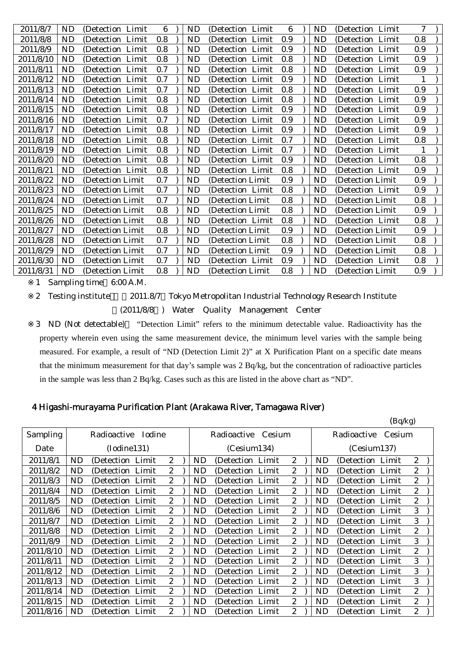| 2011/8/7  | ND        | (Detection Limit  | 6   | ND        | (Detection Limit) | 6   | ND        | (Detection Limit) | $\tau$ |
|-----------|-----------|-------------------|-----|-----------|-------------------|-----|-----------|-------------------|--------|
| 2011/8/8  | ND        | (Detection Limit  | 0.8 | <b>ND</b> | (Detection Limit) | 0.9 | <b>ND</b> | (Detection Limit  | 0.8    |
| 2011/8/9  | ND        | (Detection Limit  | 0.8 | <b>ND</b> | (Detection Limit) | 0.9 | <b>ND</b> | (Detection Limit) | 0.9    |
| 2011/8/10 | ND        | (Detection Limit) | 0.8 | ND        | (Detection Limit  | 0.8 | ND        | (Detection Limit  | 0.9    |
| 2011/8/11 | ND        | (Detection Limit) | 0.7 | ND        | (Detection Limit) | 0.8 | <b>ND</b> | (Detection Limit) | 0.9    |
| 2011/8/12 | ND        | (Detection Limit) | 0.7 | ND        | (Detection Limit) | 0.9 | ND        | (Detection Limit  | 1      |
| 2011/8/13 | ND        | (Detection Limit) | 0.7 | ND        | (Detection Limit  | 0.8 | ND        | (Detection Limit  | 0.9    |
| 2011/8/14 | ND        | (Detection Limit) | 0.8 | <b>ND</b> | (Detection Limit) | 0.8 | <b>ND</b> | (Detection Limit  | 0.9    |
| 2011/8/15 | ND        | (Detection Limit  | 0.8 | <b>ND</b> | (Detection Limit  | 0.9 | <b>ND</b> | (Detection Limit  | 0.9    |
| 2011/8/16 | ND        | (Detection Limit  | 0.7 | <b>ND</b> | (Detection Limit) | 0.9 | <b>ND</b> | (Detection Limit  | 0.9    |
| 2011/8/17 | ND        | (Detection Limit  | 0.8 | <b>ND</b> | (Detection Limit) | 0.9 | <b>ND</b> | (Detection Limit  | 0.9    |
| 2011/8/18 | ND        | (Detection Limit  | 0.8 | <b>ND</b> | (Detection Limit  | 0.7 | <b>ND</b> | (Detection Limit  | 0.8    |
| 2011/8/19 | ND        | (Detection Limit) | 0.8 | ND        | (Detection Limit  | 0.7 | <b>ND</b> | (Detection Limit  | 1      |
| 2011/8/20 | ND        | (Detection Limit  | 0.8 | <b>ND</b> | (Detection Limit  | 0.9 | <b>ND</b> | (Detection Limit  | 0.8    |
| 2011/8/21 | ND        | (Detection Limit  | 0.8 | ND        | (Detection Limit  | 0.8 | <b>ND</b> | (Detection Limit  | 0.9    |
| 2011/8/22 | ND        | (Detection Limit) | 0.7 | ND        | (Detection Limit  | 0.9 | ND        | (Detection Limit  | 0.9    |
| 2011/8/23 | ND        | (Detection Limit) | 0.7 | <b>ND</b> | (Detection Limit  | 0.8 | <b>ND</b> | (Detection Limit) | 0.9    |
| 2011/8/24 | ND        | (Detection Limit) | 0.7 | <b>ND</b> | (Detection Limit  | 0.8 | <b>ND</b> | (Detection Limit  | 0.8    |
| 2011/8/25 | ND        | (Detection Limit  | 0.8 | ND        | (Detection Limit  | 0.8 | <b>ND</b> | (Detection Limit  | 0.9    |
| 2011/8/26 | ND        | (Detection Limit) | 0.8 | <b>ND</b> | (Detection Limit) | 0.8 | <b>ND</b> | (Detection Limit  | 0.8    |
| 2011/8/27 | ND        | (Detection Limit  | 0.8 | <b>ND</b> | (Detection Limit  | 0.9 | <b>ND</b> | (Detection Limit  | 0.9    |
| 2011/8/28 | <b>ND</b> | (Detection Limit) | 0.7 | <b>ND</b> | (Detection Limit) | 0.8 | <b>ND</b> | (Detection Limit  | 0.8    |
| 2011/8/29 | <b>ND</b> | (Detection Limit) | 0.7 | <b>ND</b> | (Detection Limit  | 0.9 | <b>ND</b> | (Detection Limit  | 0.8    |
| 2011/8/30 | ND        | (Detection Limit) | 0.7 | ND        | (Detection Limit  | 0.9 | <b>ND</b> | (Detection Limit) | 0.8    |
| 2011/8/31 | ND        | (Detection Limit) | 0.8 | ND        | (Detection Limit) | 0.8 | ND        | (Detection Limit  | 0.9    |

1 Sampling time 6:00 A.M.

2 Testing institute 2011.8/7 Tokyo Metropolitan Industrial Technology Research Institute (2011/8/8 ) Water Quality Management Center

3 ND (Not detectable) "Detection Limit" refers to the minimum detectable value. Radioactivity has the property wherein even using the same measurement device, the minimum level varies with the sample being measured. For example, a result of "ND (Detection Limit 2)" at X Purification Plant on a specific date means that the minimum measurement for that day's sample was 2 Bq/kg, but the concentration of radioactive particles in the sample was less than 2 Bq/kg. Cases such as this are listed in the above chart as "ND".

## 4 Higashi-murayama Purification Plant (Arakawa River, Tamagawa River)

|                 |           |                   |        |                       |           |                    |                |           |                   | (Bq/kg) |                  |  |
|-----------------|-----------|-------------------|--------|-----------------------|-----------|--------------------|----------------|-----------|-------------------|---------|------------------|--|
| <b>Sampling</b> |           | Radioactive       | Iodine |                       |           | Radioactive Cesium |                |           | Radioactive       | Cesium  |                  |  |
| Date            |           | (Iodine131)       |        |                       |           | (Cesium134)        |                |           | (Cesium137)       |         |                  |  |
| 2011/8/1        | ND        | (Detection Limit) |        | $\overline{2}$        | ND        | (Detection Limit)  | 2              | ND        | (Detection Limit) |         | $\mathbf{2}$     |  |
| 2011/8/2        | ND        | (Detection Limit) |        | $\mathbf{2}$          | ND        | (Detection Limit   | $\overline{c}$ | ND        | (Detection Limit) |         | $\boldsymbol{2}$ |  |
| 2011/8/3        | ND        | (Detection Limit) |        | $\mathbf{2}$          | ND        | (Detection Limit   | 2              | <b>ND</b> | (Detection Limit) |         | $\boldsymbol{2}$ |  |
| 2011/8/4        | ND        | (Detection Limit) |        | $\mathbf{2}$          | ND        | (Detection Limit)  | 2              | ND        | (Detection Limit) |         | $\boldsymbol{2}$ |  |
| 2011/8/5        | <b>ND</b> | (Detection Limit) |        | $\overline{2}$        | ND.       | (Detection Limit)  | 2              | ND        | (Detection Limit) |         | $\overline{c}$   |  |
| 2011/8/6        | <b>ND</b> | (Detection Limit) |        | $\overline{2}$        | <b>ND</b> | (Detection Limit)  | 2              | <b>ND</b> | (Detection Limit) |         | 3                |  |
| 2011/8/7        | ND        | (Detection Limit) |        | $\mathbf{2}$          | ND.       | (Detection Limit)  | 2              | <b>ND</b> | (Detection Limit) |         | 3                |  |
| 2011/8/8        | <b>ND</b> | (Detection Limit) |        | $\mathbf{2}^{\prime}$ | ND.       | (Detection Limit)  | 2              | ND        | (Detection Limit) |         | 2                |  |
| 2011/8/9        | <b>ND</b> | (Detection Limit) |        | $\overline{2}$        | ND        | (Detection Limit)  | 2              | ND        | (Detection Limit) |         | 3                |  |
| 2011/8/10       | <b>ND</b> | (Detection Limit) |        | $\mathbf{2}$          | ND        | (Detection Limit   | 2              | ND        | (Detection Limit  |         | $\boldsymbol{2}$ |  |
| 2011/8/11       | ND        | (Detection Limit) |        | $\overline{2}$        | ND        | (Detection Limit)  | 2              | <b>ND</b> | (Detection Limit) |         | 3                |  |
| 2011/8/12       | ND        | (Detection Limit) |        | $\mathbf{2}$          | ND        | (Detection Limit)  | 2              | <b>ND</b> | (Detection Limit) |         | 3                |  |
| 2011/8/13       | ND        | (Detection Limit) |        | $\overline{2}$        | ND        | (Detection Limit)  | 2              | ND        | (Detection Limit) |         | 3                |  |
| 2011/8/14       | <b>ND</b> | (Detection Limit) |        | $\mathbf{2}$          | ND        | (Detection Limit   | 2              | ND        | (Detection Limit) |         | $\boldsymbol{2}$ |  |
| 2011/8/15       | <b>ND</b> | (Detection Limit) |        | $\boldsymbol{2}$      | <b>ND</b> | (Detection Limit)  | $\overline{c}$ | <b>ND</b> | (Detection Limit) |         | $\boldsymbol{2}$ |  |
| 2011/8/16       | <b>ND</b> | (Detection Limit  |        | 2                     | <b>ND</b> | (Detection Limit   | 2              | <b>ND</b> | (Detection Limit) |         | $\boldsymbol{2}$ |  |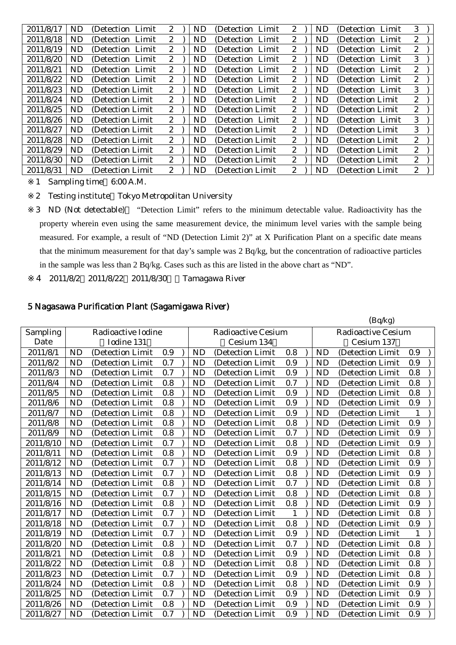| 2011/8/17 | ND  | (Detection Limit) | $\mathbf{2}$          | <b>ND</b> | (Detection)<br>Limit | 2                | <b>ND</b> | (Detection Limit) | 3                |
|-----------|-----|-------------------|-----------------------|-----------|----------------------|------------------|-----------|-------------------|------------------|
| 2011/8/18 | ND. | (Detection Limit) | $\mathbf{2}$          | ND        | (Detection)<br>Limit | 2                | ND        | (Detection Limit) | 2                |
| 2011/8/19 | ND. | (Detection Limit) | $\mathbf{2}^{\prime}$ | <b>ND</b> | (Detection Limit)    | $\boldsymbol{2}$ | <b>ND</b> | (Detection Limit) | $\mathbf{2}$     |
| 2011/8/20 | ND  | (Detection Limit) | $\boldsymbol{2}$      | <b>ND</b> | (Detection Limit)    | 2                | <b>ND</b> | (Detection Limit) | 3                |
| 2011/8/21 | ND. | (Detection Limit) | $\overline{2}$        | ND        | (Detection Limit)    | 2                | ND.       | (Detection Limit) | $\mathbf{2}$     |
| 2011/8/22 | ND  | (Detection Limit) | $2\overline{ }$       | ND        | (Detection Limit)    | 2                | ND        | (Detection Limit) | $\boldsymbol{2}$ |
| 2011/8/23 | ND  | (Detection Limit) | $\mathbf{2}^{\prime}$ | <b>ND</b> | (Detection Limit)    | 2                | ND.       | (Detection Limit) | 3                |
| 2011/8/24 | ND. | (Detection Limit) | $\mathbf{2}^{\prime}$ | ND        | (Detection Limit)    | $\boldsymbol{2}$ | ND.       | (Detection Limit) | $\mathbf{2}$     |
| 2011/8/25 | ND  | (Detection Limit) | $\mathbf{2}^{\prime}$ | ND        | (Detection Limit)    | 2                | ND.       | (Detection Limit) | $\mathbf{2}$     |
| 2011/8/26 | ND  | (Detection Limit) | $\mathbf{2}$          | <b>ND</b> | (Detection Limit)    | 2                | <b>ND</b> | (Detection Limit) | 3                |
| 2011/8/27 | ND. | (Detection Limit) | $\mathbf{2}^{\prime}$ | ND        | (Detection Limit)    | $\mathbf{2}$     | ND.       | (Detection Limit) | 3                |
| 2011/8/28 | ND  | (Detection Limit) | $\mathbf{2}$          | <b>ND</b> | (Detection Limit)    | 2                | ND        | (Detection Limit) | $\mathbf{2}$     |
| 2011/8/29 | ND. | (Detection Limit) | $\mathbf{2}^{\prime}$ | ND        | (Detection Limit)    | 2                | ND.       | (Detection Limit) | $\boldsymbol{2}$ |
| 2011/8/30 | ND. | (Detection Limit) | $\mathbf{2}^{\prime}$ | ND        | (Detection Limit)    | 2                | ND.       | (Detection Limit) | $\mathbf{2}$     |
| 2011/8/31 | ND. | (Detection Limit) | $2^{\circ}$           | ND        | (Detection Limit)    | 2                | <b>ND</b> | (Detection Limit) | $\boldsymbol{2}$ |

- 1 Sampling time 6:00 A.M.
- 2 Testing institute Tokyo Metropolitan University

3 ND (Not detectable) "Detection Limit" refers to the minimum detectable value. Radioactivity has the property wherein even using the same measurement device, the minimum level varies with the sample being measured. For example, a result of "ND (Detection Limit 2)" at X Purification Plant on a specific date means that the minimum measurement for that day's sample was 2 Bq/kg, but the concentration of radioactive particles in the sample was less than 2 Bq/kg. Cases such as this are listed in the above chart as "ND".

4 2011/8/2 2011/8/22 2011/8/30 Tamagawa River

## 5 Nagasawa Purification Plant (Sagamigawa River)

|           |           |                    |     |           |                           |              |           | (Bq/kg)                   |     |  |
|-----------|-----------|--------------------|-----|-----------|---------------------------|--------------|-----------|---------------------------|-----|--|
| Sampling  |           | Radioactive Iodine |     |           | <b>Radioactive Cesium</b> |              |           | <b>Radioactive Cesium</b> |     |  |
| Date      |           | Iodine 131         |     |           | Cesium 134                |              |           | Cesium 137                |     |  |
| 2011/8/1  | <b>ND</b> | (Detection Limit   | 0.9 | <b>ND</b> | (Detection Limit          | 0.8          | <b>ND</b> | (Detection Limit          | 0.9 |  |
| 2011/8/2  | <b>ND</b> | (Detection Limit   | 0.7 | <b>ND</b> | (Detection Limit          | 0.9          | <b>ND</b> | (Detection Limit)         | 0.9 |  |
| 2011/8/3  | <b>ND</b> | (Detection Limit   | 0.7 | <b>ND</b> | (Detection Limit          | 0.9          | <b>ND</b> | (Detection Limit          | 0.8 |  |
| 2011/8/4  | <b>ND</b> | (Detection Limit   | 0.8 | <b>ND</b> | (Detection Limit          | 0.7          | <b>ND</b> | (Detection Limit          | 0.8 |  |
| 2011/8/5  | <b>ND</b> | (Detection Limit   | 0.8 | <b>ND</b> | (Detection Limit          | 0.9          | <b>ND</b> | (Detection Limit          | 0.8 |  |
| 2011/8/6  | <b>ND</b> | (Detection Limit   | 0.8 | <b>ND</b> | (Detection Limit          | 0.9          | <b>ND</b> | (Detection Limit          | 0.9 |  |
| 2011/8/7  | <b>ND</b> | (Detection Limit   | 0.8 | <b>ND</b> | (Detection Limit          | 0.9          | <b>ND</b> | (Detection Limit          | 1   |  |
| 2011/8/8  | <b>ND</b> | (Detection Limit   | 0.8 | <b>ND</b> | (Detection Limit          | 0.8          | <b>ND</b> | (Detection Limit          | 0.9 |  |
| 2011/8/9  | <b>ND</b> | (Detection Limit   | 0.8 | <b>ND</b> | (Detection Limit          | 0.7          | <b>ND</b> | (Detection Limit          | 0.9 |  |
| 2011/8/10 | <b>ND</b> | (Detection Limit   | 0.7 | <b>ND</b> | (Detection Limit          | 0.8          | <b>ND</b> | (Detection Limit          | 0.9 |  |
| 2011/8/11 | <b>ND</b> | (Detection Limit   | 0.8 | <b>ND</b> | (Detection Limit          | 0.9          | <b>ND</b> | (Detection Limit          | 0.8 |  |
| 2011/8/12 | <b>ND</b> | (Detection Limit   | 0.7 | <b>ND</b> | (Detection Limit          | 0.8          | <b>ND</b> | (Detection Limit          | 0.9 |  |
| 2011/8/13 | <b>ND</b> | (Detection Limit   | 0.7 | <b>ND</b> | (Detection Limit          | 0.8          | <b>ND</b> | (Detection Limit          | 0.9 |  |
| 2011/8/14 | <b>ND</b> | (Detection Limit   | 0.8 | <b>ND</b> | (Detection Limit          | 0.7          | <b>ND</b> | (Detection Limit          | 0.8 |  |
| 2011/8/15 | <b>ND</b> | (Detection Limit   | 0.7 | <b>ND</b> | (Detection Limit          | 0.8          | <b>ND</b> | (Detection Limit          | 0.8 |  |
| 2011/8/16 | <b>ND</b> | (Detection Limit   | 0.8 | <b>ND</b> | (Detection Limit          | 0.8          | <b>ND</b> | (Detection Limit          | 0.9 |  |
| 2011/8/17 | <b>ND</b> | (Detection Limit   | 0.7 | <b>ND</b> | (Detection Limit          | $\mathbf{1}$ | <b>ND</b> | (Detection Limit          | 0.8 |  |
| 2011/8/18 | <b>ND</b> | (Detection Limit   | 0.7 | <b>ND</b> | (Detection Limit          | 0.8          | <b>ND</b> | (Detection Limit          | 0.9 |  |
| 2011/8/19 | <b>ND</b> | (Detection Limit   | 0.7 | <b>ND</b> | (Detection Limit          | 0.9          | <b>ND</b> | (Detection Limit          | 1   |  |
| 2011/8/20 | <b>ND</b> | (Detection Limit   | 0.8 | <b>ND</b> | (Detection Limit          | 0.7          | <b>ND</b> | (Detection Limit          | 0.8 |  |
| 2011/8/21 | <b>ND</b> | (Detection Limit   | 0.8 | <b>ND</b> | (Detection Limit          | 0.9          | <b>ND</b> | (Detection Limit          | 0.8 |  |
| 2011/8/22 | <b>ND</b> | (Detection Limit   | 0.8 | <b>ND</b> | (Detection Limit          | 0.8          | <b>ND</b> | (Detection Limit          | 0.8 |  |
| 2011/8/23 | <b>ND</b> | (Detection Limit   | 0.7 | <b>ND</b> | (Detection Limit          | 0.9          | <b>ND</b> | (Detection Limit          | 0.8 |  |
| 2011/8/24 | <b>ND</b> | (Detection Limit   | 0.8 | <b>ND</b> | (Detection Limit          | 0.8          | <b>ND</b> | (Detection Limit          | 0.9 |  |
| 2011/8/25 | <b>ND</b> | (Detection Limit   | 0.7 | <b>ND</b> | (Detection Limit          | 0.9          | <b>ND</b> | (Detection Limit          | 0.9 |  |
| 2011/8/26 | <b>ND</b> | (Detection Limit   | 0.8 | <b>ND</b> | (Detection Limit          | 0.9          | <b>ND</b> | (Detection Limit          | 0.9 |  |
| 2011/8/27 | <b>ND</b> | (Detection Limit   | 0.7 | <b>ND</b> | (Detection Limit          | 0.9          | <b>ND</b> | (Detection Limit)         | 0.9 |  |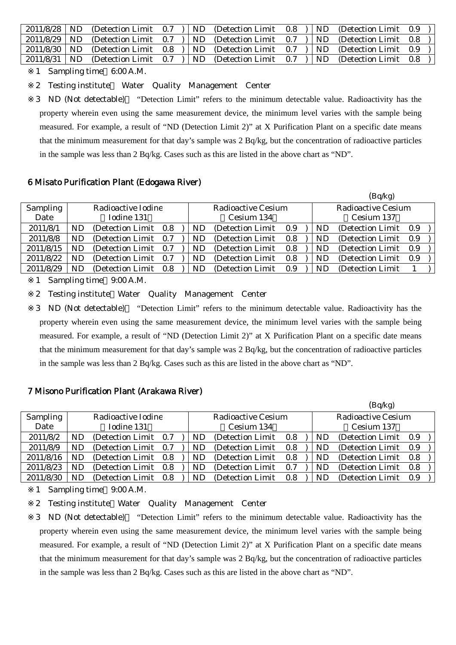|  |  |  | 2011/8/28   ND (Detection Limit 0.7 )   ND (Detection Limit 0.8 )   ND (Detection Limit 0.9 ) |  |  |
|--|--|--|-----------------------------------------------------------------------------------------------|--|--|
|  |  |  | $2011/8/29$ ND (Detection Limit 0.7 ) ND (Detection Limit 0.7 ) ND (Detection Limit 0.8 )     |  |  |
|  |  |  | 2011/8/30   ND (Detection Limit 0.8)   ND (Detection Limit 0.7)   ND (Detection Limit 0.9)    |  |  |
|  |  |  | 2011/8/31   ND (Detection Limit 0.7 )   ND (Detection Limit 0.7 )   ND (Detection Limit 0.8 ) |  |  |

1 Sampling time 6:00 A.M.

2 Testing institute Water Quality Management Center

3 ND (Not detectable) "Detection Limit" refers to the minimum detectable value. Radioactivity has the property wherein even using the same measurement device, the minimum level varies with the sample being measured. For example, a result of "ND (Detection Limit 2)" at X Purification Plant on a specific date means that the minimum measurement for that day's sample was 2 Bq/kg, but the concentration of radioactive particles in the sample was less than 2 Bq/kg. Cases such as this are listed in the above chart as "ND".

### 6 Misato Purification Plant (Edogawa River)

|                 |     |                       |     |    |                    |     |                    | (Bq/kg)               |     |  |  |
|-----------------|-----|-----------------------|-----|----|--------------------|-----|--------------------|-----------------------|-----|--|--|
| <b>Sampling</b> |     | Radioactive Iodine    |     |    | Radioactive Cesium |     | Radioactive Cesium |                       |     |  |  |
| Date            |     | Iodine 131            |     |    | Cesium 134         |     |                    | Cesium 137            |     |  |  |
| 2011/8/1        | ND. | (Detection Limit 0.8) |     | ND | (Detection Limit)  | 0.9 | <b>ND</b>          | (Detection Limit 0.9) |     |  |  |
| 2011/8/8        | ND. | (Detection Limit 0.7) |     | ND | (Detection Limit)  | 0.8 | ND                 | (Detection Limit)     | 0.9 |  |  |
| 2011/8/15       | ND. | (Detection Limit 0.7) |     | ND | (Detection Limit)  | 0.8 | ND                 | (Detection Limit)     | 0.9 |  |  |
| 2011/8/22       | ND. | (Detection Limit)     | 0.7 | ND | (Detection Limit)  | 0.8 | ND                 | (Detection Limit)     | 0.9 |  |  |
| 2011/8/29       | ND. | (Detection Limit)     | 0.8 | ND | (Detection Limit)  | 0.9 | ND                 | (Detection Limit)     |     |  |  |

1 Sampling time 9:00 A.M.

2 Testing institute Water Quality Management Center

3 ND (Not detectable) "Detection Limit" refers to the minimum detectable value. Radioactivity has the property wherein even using the same measurement device, the minimum level varies with the sample being measured. For example, a result of "ND (Detection Limit 2)" at X Purification Plant on a specific date means that the minimum measurement for that day's sample was 2 Bq/kg, but the concentration of radioactive particles in the sample was less than 2 Bq/kg. Cases such as this are listed in the above chart as "ND".

## 7 Misono Purification Plant (Arakawa River)

|           |     |                       |  |  |     |                           |     |           | (Bq/kg)                   |     |  |
|-----------|-----|-----------------------|--|--|-----|---------------------------|-----|-----------|---------------------------|-----|--|
| Sampling  |     | Radioactive Iodine    |  |  |     | <b>Radioactive Cesium</b> |     |           | <b>Radioactive Cesium</b> |     |  |
| Date      |     | Iodine 131            |  |  |     | Cesium 134                |     |           | Cesium 137                |     |  |
| 2011/8/2  | ND. | (Detection Limit 0.7) |  |  |     | (Detection Limit)         | 0.8 | <b>ND</b> | (Detection Limit 0.9)     |     |  |
| 2011/8/9  | ND. | (Detection Limit 0.7) |  |  | ND  | (Detection Limit)         | 0.8 | <b>ND</b> | (Detection Limit)         | 0.9 |  |
| 2011/8/16 | ND. | (Detection Limit 0.8) |  |  | ND. | (Detection Limit)         | 0.8 | ND        | (Detection Limit)         | 0.8 |  |
| 2011/8/23 | ND. | (Detection Limit 0.8) |  |  | ND. | (Detection Limit)         | 0.7 | <b>ND</b> | (Detection Limit)         | 0.8 |  |
| 2011/8/30 | ND. | (Detection Limit 0.8) |  |  | ND. | (Detection Limit)         | 0.8 | ND        | (Detection Limit)         | 0.9 |  |

1 Sampling time 9:00 A.M.

2 Testing institute Water Quality Management Center

3 ND (Not detectable) "Detection Limit" refers to the minimum detectable value. Radioactivity has the property wherein even using the same measurement device, the minimum level varies with the sample being measured. For example, a result of "ND (Detection Limit 2)" at X Purification Plant on a specific date means that the minimum measurement for that day's sample was 2 Bq/kg, but the concentration of radioactive particles in the sample was less than 2 Bq/kg. Cases such as this are listed in the above chart as "ND".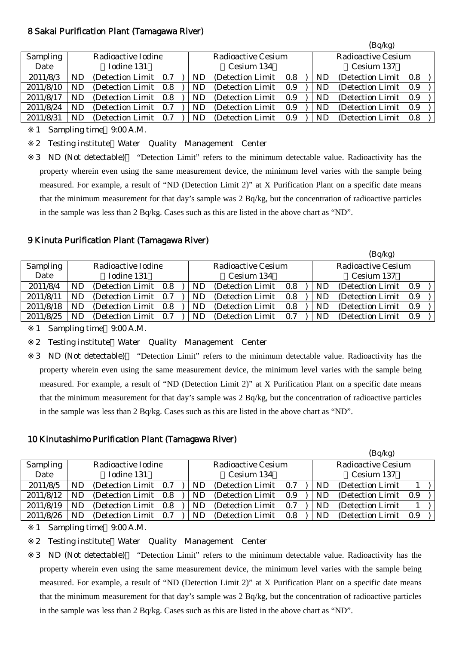### 8 Sakai Purification Plant (Tamagawa River)

|           |                    |                       |     |                    |                   |     |                           |            | (Bq/kg)           |     |  |
|-----------|--------------------|-----------------------|-----|--------------------|-------------------|-----|---------------------------|------------|-------------------|-----|--|
| Sampling  | Radioactive Iodine |                       |     | Radioactive Cesium |                   |     | <b>Radioactive Cesium</b> |            |                   |     |  |
| Date      |                    | Iodine 131            |     |                    | Cesium 134        |     |                           | Cesium 137 |                   |     |  |
| 2011/8/3  | ND                 | (Detection Limit 0.7) |     | ND.                | (Detection Limit) | 0.8 |                           | <b>ND</b>  | (Detection Limit) | 0.8 |  |
| 2011/8/10 | ND.                | (Detection Limit 0.8) |     | ND.                | (Detection Limit) | 0.9 |                           | ND.        | (Detection Limit) | 0.9 |  |
| 2011/8/17 | ND                 | (Detection Limit 0.8) |     | ND.                | (Detection Limit) | 0.9 |                           | ND         | (Detection Limit) | 0.9 |  |
| 2011/8/24 | ND                 | (Detection Limit 0.7) |     | ND                 | (Detection Limit) | 0.9 |                           | ND         | (Detection Limit) | 0.9 |  |
| 2011/8/31 | ND.                | (Detection Limit)     | 0.7 | ND.                | (Detection Limit) | 0.9 |                           | <b>ND</b>  | (Detection Limit) | 0.8 |  |

1 Sampling time 9:00 A.M.

2 Testing institute Water Quality Management Center

3 ND (Not detectable) "Detection Limit" refers to the minimum detectable value. Radioactivity has the property wherein even using the same measurement device, the minimum level varies with the sample being measured. For example, a result of "ND (Detection Limit 2)" at X Purification Plant on a specific date means that the minimum measurement for that day's sample was 2 Bq/kg, but the concentration of radioactive particles in the sample was less than 2 Bq/kg. Cases such as this are listed in the above chart as "ND".

#### 9 Kinuta Purification Plant (Tamagawa River)

|                 |                    |                       |     |                          |                   |         |                           | (Bq/kg)   |                       |     |  |
|-----------------|--------------------|-----------------------|-----|--------------------------|-------------------|---------|---------------------------|-----------|-----------------------|-----|--|
| <b>Sampling</b> | Radioactive Iodine |                       |     | Radioactive Cesium       |                   |         | <b>Radioactive Cesium</b> |           |                       |     |  |
| Date            |                    | Iodine 131            |     | Cesium 137<br>Cesium 134 |                   |         |                           |           |                       |     |  |
| 2011/8/4        | ND                 | (Detection Limit 0.8) |     | ND.                      | (Detection Limit) | $0.8\,$ |                           | ND.       | (Detection Limit 0.9) |     |  |
| 2011/8/11       | ND                 | (Detection Limit 0.7) |     | ND.                      | (Detection Limit) | 0.8     |                           | ND.       | (Detection Limit)     | 0.9 |  |
| 2011/8/18       | ND                 | (Detection Limit 0.8) |     | ND.                      | (Detection Limit) | 0.8     |                           | <b>ND</b> | (Detection Limit)     | 0.9 |  |
| 2011/8/25       | ND                 | (Detection Limit)     | 0.7 | ND.                      | (Detection Limit) | 0.7     |                           | ND        | (Detection Limit)     | 0.9 |  |

1 Sampling time 9:00 A.M.

2 Testing institute Water Quality Management Center

3 ND (Not detectable) "Detection Limit" refers to the minimum detectable value. Radioactivity has the property wherein even using the same measurement device, the minimum level varies with the sample being measured. For example, a result of "ND (Detection Limit 2)" at X Purification Plant on a specific date means that the minimum measurement for that day's sample was 2 Bq/kg, but the concentration of radioactive particles in the sample was less than 2 Bq/kg. Cases such as this are listed in the above chart as "ND".

#### 10 Kinutashimo Purification Plant (Tamagawa River)

|                 |                    |                       |     |                    |                   |            |                           |    | (Bq/kg)               |     |  |
|-----------------|--------------------|-----------------------|-----|--------------------|-------------------|------------|---------------------------|----|-----------------------|-----|--|
| <b>Sampling</b> | Radioactive Iodine |                       |     | Radioactive Cesium |                   |            | <b>Radioactive Cesium</b> |    |                       |     |  |
| Date            |                    | Iodine 131            |     | Cesium 134         |                   | Cesium 137 |                           |    |                       |     |  |
| 2011/8/5        | ND                 | (Detection Limit 0.7) |     | ND                 | (Detection Limit) | 0.7        |                           | ND | (Detection Limit)     |     |  |
| 2011/8/12       | ND                 | (Detection Limit 0.8) |     | ND.                | (Detection Limit) | 0.9        |                           | ND | (Detection Limit 0.9) |     |  |
| 2011/8/19       | ND                 | (Detection Limit 0.8) |     | ND.                | (Detection Limit) | 0.7        |                           | ND | (Detection Limit)     |     |  |
| 2011/8/26       | ND                 | (Detection Limit)     | 0.7 | ND                 | (Detection Limit) | 0.8        |                           | ND | (Detection Limit)     | 0.9 |  |

1 Sampling time 9:00 A.M.

2 Testing institute Water Quality Management Center

3 ND (Not detectable) "Detection Limit" refers to the minimum detectable value. Radioactivity has the property wherein even using the same measurement device, the minimum level varies with the sample being measured. For example, a result of "ND (Detection Limit 2)" at X Purification Plant on a specific date means that the minimum measurement for that day's sample was 2 Bq/kg, but the concentration of radioactive particles in the sample was less than 2 Bq/kg. Cases such as this are listed in the above chart as "ND".